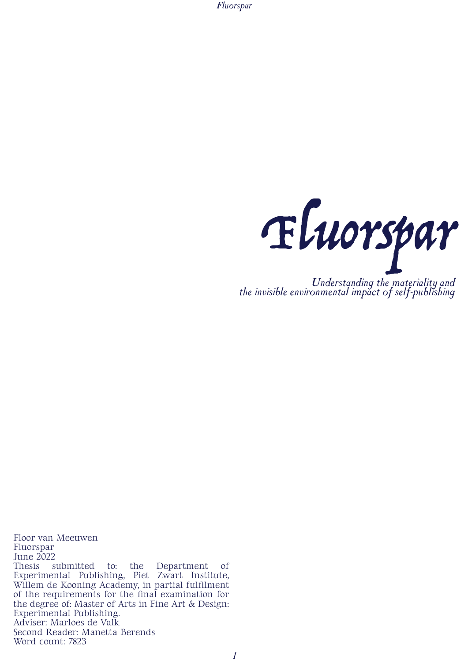*Fluorspar*



Floor van Meeuwen Fluorspar June 2022<br>Thesis s submitted to: the Department of Experimental Publishing, Piet Zwart Institute, Willem de Kooning Academy, in partial fulfilment of the requirements for the final examination for the degree of: Master of Arts in Fine Art & Design: Experimental Publishing. Adviser: Marloes de Valk Second Reader: Manetta Berends Word count: 7823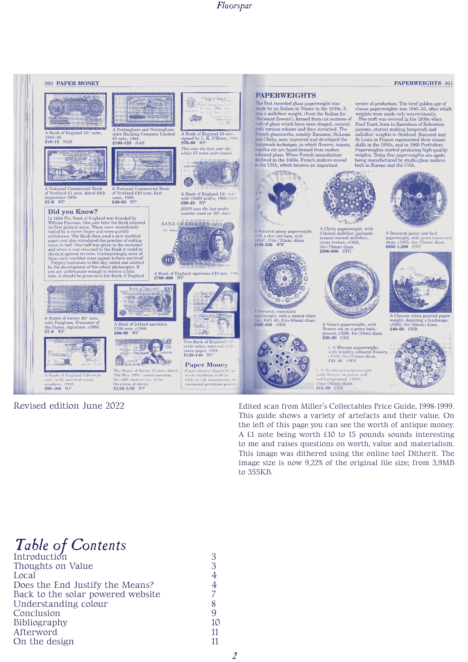

### Revised edition June 2022

Edited scan from Miller's Collectables Price Guide, 1998-1999. This guide shows a variety of artefacts and their value. On the left of this page you can see the worth of antique money. A £1 note being worth £10 to 15 pounds sounds interesting to me and raises questions on worth, value and materialism. This image was dithered using the online tool Ditherit. The image size is now 9,22% of the original file size; from 3,9MB to 355KB.

## *Table of Contents*

| Introduction                      | ₽  |
|-----------------------------------|----|
| Thoughts on Value                 |    |
| Local                             | 4  |
| Does the End Justify the Means?   |    |
| Back to the solar powered website |    |
| Understanding colour              |    |
| Conclusion                        |    |
| Bibliography                      | 10 |
| Afterword                         | 11 |
| On the design                     | 11 |
|                                   |    |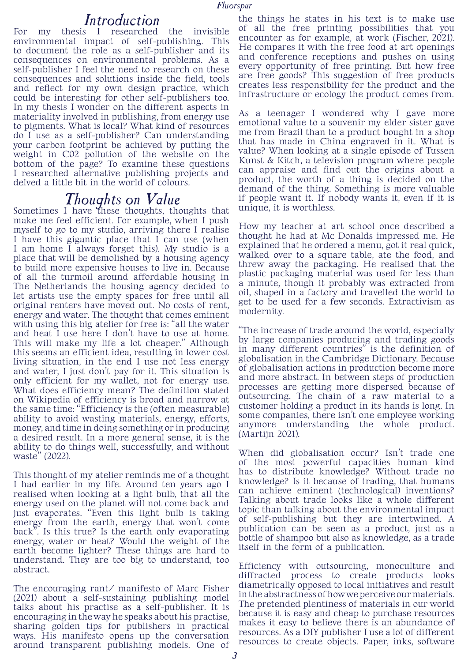### *Introduction*

For my thesis I researched the invisible environmental impact of self-publishing. This to document the role as a self-publisher and its consequences on environmental problems. As a self-publisher I feel the need to research on these consequences and solutions inside the field, tools and reflect for my own design practice, which could be interesting for other self-publishers too. In my thesis I wonder on the different aspects in materiality involved in publishing, from energy use to pigments. What is local? What kind of resources do I use as a self-publisher? Can understanding your carbon footprint be achieved by putting the weight in C02 pollution of the website on the bottom of the page? To examine these questions I researched alternative publishing projects and delved a little bit in the world of colours.

## **Thoughts on Value**<br>Sometimes I have these thoughts, thoughts that

make me feel efficient. For example, when I push myself to go to my studio, arriving there I realise I have this gigantic place that I can use (when I am home I always forget this). My studio is a place that will be demolished by a housing agency to build more expensive houses to live in. Because of all the turmoil around affordable housing in The Netherlands the housing agency decided to let artists use the empty spaces for free until all original renters have moved out. No costs of rent, energy and water. The thought that comes eminent with using this big atelier for free is: "all the water and heat I use here I don't have to use at home. This will make my life a lot cheaper." Although this seems an efficient idea, resulting in lower cost living situation, in the end I use not less energy and water, I just don't pay for it. This situation is only efficient for my wallet, not for energy use. What does efficiency mean? The definition stated on Wikipedia of efficiency is broad and narrow at the same time: "Efficiency is the (often measurable) ability to avoid wasting materials, energy, efforts, money, and time in doing something or in producing a desired result. In a more general sense, it is the ability to do things well, successfully, and without waste" (2022).

This thought of my atelier reminds me of a thought I had earlier in my life. Around ten years ago I realised when looking at a light bulb, that all the energy used on the planet will not come back and just evaporates. "Even this light bulb is taking energy from the earth, energy that won't come back". Is this true? Is the earth only evaporating energy, water or heat? Would the weight of the earth become lighter? These things are hard to understand. They are too big to understand, too abstract.

The encouraging rant/ manifesto of Marc Fisher (2021) about a self-sustaining publishing model talks about his practise as a self-publisher. It is encouraging in the way he speaks about his practise, sharing golden tips for publishers in practical ways. His manifesto opens up the conversation around transparent publishing models. One of

the things he states in his text is to make use of all the free printing possibilities that you encounter as for example, at work (Fischer, 2021). He compares it with the free food at art openings and conference receptions and pushes on using every opportunity of free printing. But how free are free goods? This suggestion of free products creates less responsibility for the product and the infrastructure or ecology the product comes from.

As a teenager I wondered why I gave more emotional value to a souvenir my elder sister gave me from Brazil than to a product bought in a shop that has made in China engraved in it. What is value? When looking at a single episode of Tussen Kunst & Kitch, a television program where people can appraise and find out the origins about a product, the worth of a thing is decided on the demand of the thing. Something is more valuable if people want it. If nobody wants it, even if it is unique, it is worthless.

How my teacher at art school once described a thought he had at Mc Donalds impressed me. He explained that he ordered a menu, got it real quick, walked over to a square table, ate the food, and threw away the packaging. He realised that the plastic packaging material was used for less than a minute, though it probably was extracted from oil, shaped in a factory and travelled the world to get to be used for a few seconds. Extractivism as modernity.

"The increase of trade around the world, especially by large companies producing and trading goods in many different countries" is the definition of globalisation in the Cambridge Dictionary. Because of globalisation actions in production become more and more abstract. In between steps of production processes are getting more dispersed because of outsourcing. The chain of a raw material to a customer holding a product in its hands is long. In some companies, there isn't one employee working anymore understanding the whole product. (Martijn 2021).

When did globalisation occur? Isn't trade one of the most powerful capacities human kind has to distribute knowledge? Without trade no knowledge? Is it because of trading, that humans can achieve eminent (technological) inventions? Talking about trade looks like a whole different topic than talking about the environmental impact of self-publishing but they are intertwined. A publication can be seen as a product, just as a bottle of shampoo but also as knowledge, as a trade itself in the form of a publication.

Efficiency with outsourcing, monoculture and diffracted process to create products looks diametrically opposed to local initiatives and result in the abstractness of how we perceive our materials. The pretended plentiness of materials in our world because it is easy and cheap to purchase resources makes it easy to believe there is an abundance of resources. As a DIY publisher I use a lot of different resources to create objects. Paper, inks, software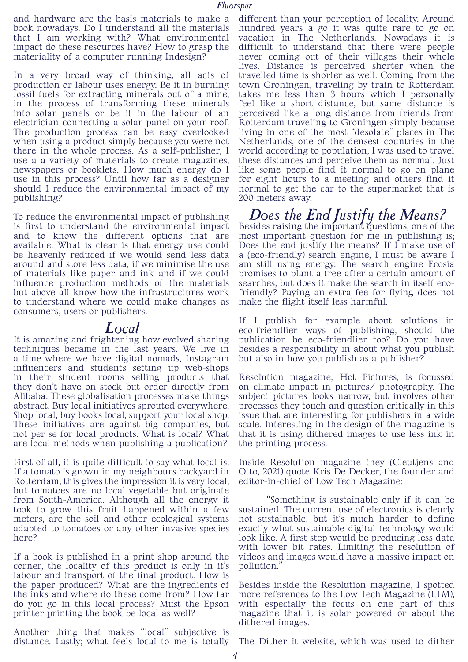and hardware are the basis materials to make a book nowadays. Do I understand all the materials that I am working with? What environmental impact do these resources have? How to grasp the materiality of a computer running Indesign?

In a very broad way of thinking, all acts of production or labour uses energy. Be it in burning fossil fuels for extracting minerals out of a mine, in the process of transforming these minerals into solar panels or be it in the labour of an electrician connecting a solar panel on your roof. The production process can be easy overlooked when using a product simply because you were not there in the whole process. As a self-publisher, I use a a variety of materials to create magazines, newspapers or booklets. How much energy do I use in this process? Until how far as a designer should I reduce the environmental impact of my publishing?

To reduce the environmental impact of publishing is first to understand the environmental impact and to know the different options that are available. What is clear is that energy use could be heavenly reduced if we would send less data around and store less data, if we minimise the use of materials like paper and ink and if we could influence production methods of the materials but above all know how the infrastructures work to understand where we could make changes as consumers, users or publishers.

### *Local*

It is amazing and frightening how evolved sharing techniques became in the last years. We live in a time where we have digital nomads, Instagram influencers and students setting up web-shops in their student rooms selling products that they don't have on stock but order directly from Alibaba. These globalisation processes make things abstract. Buy local initiatives sprouted everywhere. Shop local, buy books local, support your local shop. These initiatives are against big companies, but not per se for local products. What is local? What are local methods when publishing a publication?

First of all, it is quite difficult to say what local is. If a tomato is grown in my neighbours backyard in Rotterdam, this gives the impression it is very local, but tomatoes are no local vegetable but originate from South-America. Although all the energy it took to grow this fruit happened within a few meters, are the soil and other ecological systems adapted to tomatoes or any other invasive species here?

If a book is published in a print shop around the corner, the locality of this product is only in it's labour and transport of the final product. How is the paper produced? What are the ingredients of the inks and where do these come from? How far do you go in this local process? Must the Epson printer printing the book be local as well?

Another thing that makes "local" subjective is distance. Lastly; what feels local to me is totally

different than your perception of locality. Around hundred years a go it was quite rare to go on vacation in The Netherlands. Nowadays it is difficult to understand that there were people never coming out of their villages their whole lives. Distance is perceived shorter when the travelled time is shorter as well. Coming from the town Groningen, traveling by train to Rotterdam takes me less than 3 hours which I personally feel like a short distance, but same distance is perceived like a long distance from friends from Rotterdam traveling to Groningen simply because living in one of the most "desolate" places in The Netherlands, one of the densest countries in the world according to population, I was used to travel these distances and perceive them as normal. Just like some people find it normal to go on plane for eight hours to a meeting and others find it normal to get the car to the supermarket that is 200 meters away.

# *Does the End Justify the Means?* Besides raising the important questions, one of the

most important question for me in publishing is; Does the end justify the means? If  $\overline{I}$  make use of a (eco-friendly) search engine, I must be aware I am still using energy. The search engine Ecosia promises to plant a tree after a certain amount of searches, but does it make the search in itself ecofriendly? Paying an extra fee for flying does not make the flight itself less harmful.

If I publish for example about solutions in eco-friendlier ways of publishing, should the publication be eco-friendlier too? Do you have besides a responsibility in about what you publish but also in how you publish as a publisher?

Resolution magazine, Hot Pictures, is focussed on climate impact in pictures/ photography. The subject pictures looks narrow, but involves other processes they touch and question critically in this issue that are interesting for publishers in a wide scale. Interesting in the design of the magazine is that it is using dithered images to use less ink in the printing process.

Inside Resolution magazine they (Cleutjens and Otto, 2021) quote Kris De Decker, the founder and editor-in-chief of Low Tech Magazine:

"Something is sustainable only if it can be sustained. The current use of electronics is clearly not sustainable, but it's much harder to define exactly what sustainable digital technology would look like. A first step would be producing less data with lower bit rates. Limiting the resolution of videos and images would have a massive impact on pollution."

Besides inside the Resolution magazine, I spotted more references to the Low Tech Magazine (LTM), with especially the focus on one part of this magazine that it is solar powered or about the dithered images.

The Dither it website, which was used to dither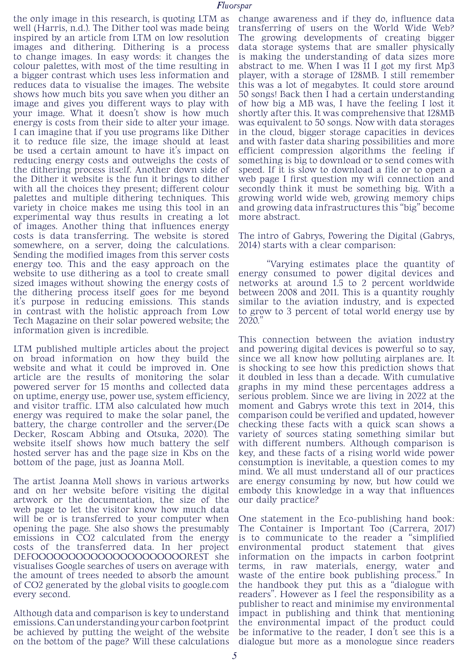the only image in this research, is quoting LTM as well (Harris, n.d.). The Dither tool was made being inspired by an article from LTM on low resolution images and dithering. Dithering is a process to change images. In easy words: it changes the colour palettes, with most of the time resulting in a bigger contrast which uses less information and reduces data to visualise the images. The website shows how much bits you save when you dither an image and gives you different ways to play with your image. What it doesn't show is how much energy is costs from their side to alter your image. I can imagine that if you use programs like Dither it to reduce file size, the image should at least be used a certain amount to have it's impact on reducing energy costs and outweighs the costs of the dithering process itself. Another down side of the Dither it website is the fun it brings to dither with all the choices they present; different colour palettes and multiple dithering techniques. This variety in choice makes me using this tool in an experimental way thus results in creating a lot of images. Another thing that influences energy costs is data transferring. The website is stored somewhere, on a server, doing the calculations. Sending the modified images from this server costs energy too. This and the easy approach on the website to use dithering as a tool to create small sized images without showing the energy costs of the dithering process itself goes for me beyond it's purpose in reducing emissions. This stands in contrast with the holistic approach from Low Tech Magazine on their solar powered website; the information given is incredible.

LTM published multiple articles about the project on broad information on how they build the website and what it could be improved in. One article are the results of monitoring the solar powered server for 15 months and collected data on uptime, energy use, power use, system efficiency, and visitor traffic. LTM also calculated how much energy was required to make the solar panel, the battery, the charge controller and the server.(De Decker, Roscam Abbing and Otsuka, 2020). The website itself shows how much battery the self hosted server has and the page size in Kbs on the bottom of the page, just as Joanna Moll.

The artist Joanna Moll shows in various artworks and on her website before visiting the digital artwork or the documentation, the size of the web page to let the visitor know how much data will be or is transferred to your computer when opening the page. She also shows the presumably emissions in CO2 calculated from the energy costs of the transferred data. In her project DEFOOOOOOOOOOOOOOOOOOOOOREST she visualises Google searches of users on average with the amount of trees needed to absorb the amount of CO2 generated by the global visits to google.com every second.

Although data and comparison is key to understand emissions. Can understanding your carbon footprint be achieved by putting the weight of the website on the bottom of the page? Will these calculations change awareness and if they do, influence data transferring of users on the World Wide Web? The growing developments of creating bigger data storage systems that are smaller physically is making the understanding of data sizes more abstract to me. When I was 11 I got my first Mp3 player, with a storage of 128MB. I still remember this was a lot of megabytes. It could store around 50 songs! Back then I had a certain understanding of how big a MB was, I have the feeling I lost it shortly after this. It was comprehensive that 128MB was equivalent to 50 songs. Now with data storages in the cloud, bigger storage capacities in devices and with faster data sharing possibilities and more efficient compression algorithms the feeling if something is big to download or to send comes with speed. If it is slow to download a file or to open a web page I first question my wifi connection and secondly think it must be something big. With a growing world wide web, growing memory chips and growing data infrastructures this "big" become more abstract.

The intro of Gabrys, Powering the Digital (Gabrys, 2014) starts with a clear comparison:

"Varying estimates place the quantity of energy consumed to power digital devices and networks at around 1.5 to 2 percent worldwide between 2008 and 2011. This is a quantity roughly similar to the aviation industry, and is expected to grow to 3 percent of total world energy use by 2020."

This connection between the aviation industry and powering digital devices is powerful so to say, since we all know how polluting airplanes are. It is shocking to see how this prediction shows that it doubled in less than a decade. With cumulative graphs in my mind these percentages address a serious problem. Since we are living in 2022 at the moment and Gabrys wrote this text in 2014, this comparison could be verified and updated, however checking these facts with a quick scan shows a variety of sources stating something similar but with different numbers. Although comparison is key, and these facts of a rising world wide power consumption is inevitable, a question comes to my mind. We all must understand all of our practices are energy consuming by now, but how could we embody this knowledge in a way that influences our daily practice?

One statement in the Eco-publishing hand book: The Container is Important Too (Carrera, 2017) is to communicate to the reader a "simplified environmental product statement that information on the impacts in carbon footprint terms, in raw materials, energy, water and waste of the entire book publishing process." In the handbook they put this as a "dialogue with readers". However as I feel the responsibility as a publisher to react and minimise my environmental impact in publishing and think that mentioning the environmental impact of the product could be informative to the reader, I don't see this is a dialogue but more as a monologue since readers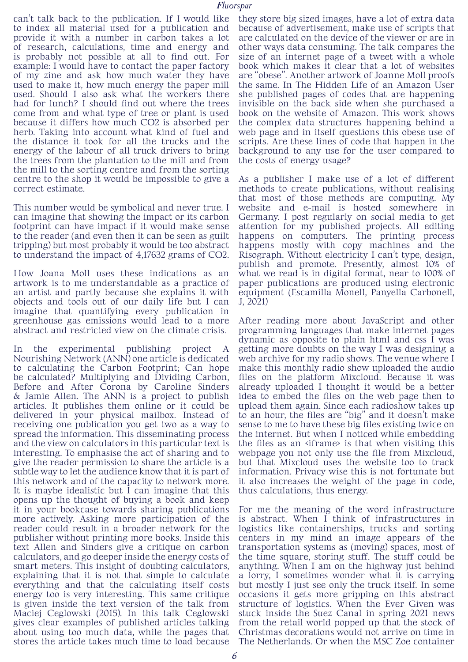can't talk back to the publication. If I would like to index all material used for a publication and provide it with a number in carbon takes a lot of research, calculations, time and energy and is probably not possible at all to find out. For example: I would have to contact the paper factory of my zine and ask how much water they have used to make it, how much energy the paper mill used. Should I also ask what the workers there had for lunch? I should find out where the trees come from and what type of tree or plant is used because it differs how much CO2 is absorbed per herb. Taking into account what kind of fuel and the distance it took for all the trucks and the energy of the labour of all truck drivers to bring the trees from the plantation to the mill and from the mill to the sorting centre and from the sorting centre to the shop it would be impossible to give a correct estimate.

This number would be symbolical and never true. I can imagine that showing the impact or its carbon footprint can have impact if it would make sense to the reader (and even then it can be seen as guilt tripping) but most probably it would be too abstract to understand the impact of 4,17632 grams of CO2.

How Joana Moll uses these indications as an artwork is to me understandable as a practice of an artist and partly because she explains it with objects and tools out of our daily life but I can imagine that quantifying every publication in greenhouse gas emissions would lead to a more abstract and restricted view on the climate crisis.

In the experimental publishing project A Nourishing Network (ANN) one article is dedicated to calculating the Carbon Footprint; Can hope be calculated? Multiplying and Dividing Carbon, Before and After Corona by Caroline Sinders & Jamie Allen. The ANN is a project to publish articles. It publishes them online or it could be delivered in your physical mailbox. Instead of receiving one publication you get two as a way to spread the information. This disseminating process and the view on calculators in this particular text is interesting. To emphasise the act of sharing and to give the reader permission to share the article is a subtle way to let the audience know that it is part of this network and of the capacity to network more. It is maybe idealistic but I can imagine that this opens up the thought of buying a book and keep it in your bookcase towards sharing publications more actively. Asking more participation of the reader could result in a broader network for the publisher without printing more books. Inside this text Allen and Sinders give a critique on carbon calculators, and go deeper inside the energy costs of smart meters. This insight of doubting calculators, explaining that it is not that simple to calculate everything and that the calculating itself costs energy too is very interesting. This same critique is given inside the text version of the talk from Maciej Ceglowski (2015). In this talk Ceglowski gives clear examples of published articles talking about using too much data, while the pages that stores the article takes much time to load because

they store big sized images, have a lot of extra data because of advertisement, make use of scripts that are calculated on the device of the viewer or are in other ways data consuming. The talk compares the size of an internet page of a tweet with a whole book which makes it clear that a lot of websites are "obese". Another artwork of Joanne Moll proofs the same. In The Hidden Life of an Amazon User she published pages of codes that are happening invisible on the back side when she purchased a book on the website of Amazon. This work shows the complex data structures happening behind a web page and in itself questions this obese use of scripts. Are these lines of code that happen in the background to any use for the user compared to the costs of energy usage?

As a publisher I make use of a lot of different methods to create publications, without realising that most of those methods are computing. My website and e-mail is hosted somewhere in Germany. I post regularly on social media to get attention for my published projects. All editing happens on computers. The printing process happens mostly with copy machines and the Risograph. Without electricity I can't type, design, publish and promote. Presently, almost 10% of what we read is in digital format, near to 100% of paper publications are produced using electronic equipment (Escamilla Monell, Panyella Carbonell, J, 2021)

After reading more about JavaScript and other programming languages that make internet pages dynamic as opposite to plain html and css I was getting more doubts on the way I was designing a web archive for my radio shows. The venue where I make this monthly radio show uploaded the audio files on the platform Mixcloud. Because it was already uploaded I thought it would be a better idea to embed the files on the web page then to upload them again. Since each radioshow takes up to an hour, the files are "big" and it doesn't make sense to me to have these big files existing twice on the internet. But when I noticed while embedding the files as an  $\langle$  if rame is that when visiting this webpage you not only use the file from Mixcloud, but that Mixcloud uses the website too to track information. Privacy wise this is not fortunate but it also increases the weight of the page in code, thus calculations, thus energy.

For me the meaning of the word infrastructure is abstract. When I think of infrastructures in logistics like containerships, trucks and sorting centers in my mind an image appears of the transportation systems as (moving) spaces, most of the time square, storing stuff. The stuff could be anything. When I am on the highway just behind a lorry, I sometimes wonder what it is carrying but mostly I just see only the truck itself. In some occasions it gets more gripping on this abstract structure of logistics. When the Ever Given was stuck inside the Suez Canal in spring 2021 news from the retail world popped up that the stock of Christmas decorations would not arrive on time in The Netherlands. Or when the MSC Zoe container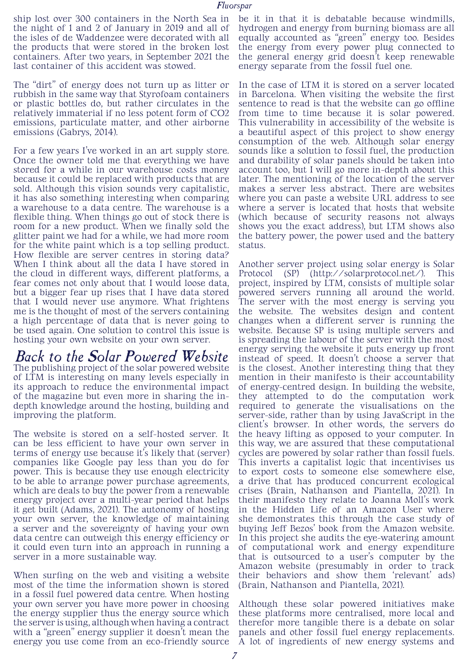ship lost over 300 containers in the North Sea in the night of 1 and 2 of January in 2019 and all of the isles of de Waddenzee were decorated with all the products that were stored in the broken lost containers. After two years, in September 2021 the last container of this accident was stowed.

The "dirt" of energy does not turn up as litter or rubbish in the same way that Styrofoam containers or plastic bottles do, but rather circulates in the relatively immaterial if no less potent form of CO2 emissions, particulate matter, and other airborne emissions (Gabrys, 2014).

For a few years I've worked in an art supply store. Once the owner told me that everything we have stored for a while in our warehouse costs money because it could be replaced with products that are sold. Although this vision sounds very capitalistic, it has also something interesting when comparing a warehouse to a data centre. The warehouse is a flexible thing. When things go out of stock there is room for a new product. When we finally sold the glitter paint we had for a while, we had more room for the white paint which is a top selling product. How flexible are server centres in storing data? When I think about all the data I have stored in the cloud in different ways, different platforms, a fear comes not only about that I would loose data, but a bigger fear up rises that I have data stored that I would never use anymore. What frightens me is the thought of most of the servers containing a high percentage of data that is never going to be used again. One solution to control this issue is hosting your own website on your own server.

*Back to the Solar Powered Website* The publishing project of the solar powered website of LTM is interesting on many levels especially in its approach to reduce the environmental impact of the magazine but even more in sharing the indepth knowledge around the hosting, building and improving the platform.

The website is stored on a self-hosted server. It can be less efficient to have your own server in terms of energy use because it's likely that (server) companies like Google pay less than you do for power. This is because they use enough electricity to be able to arrange power purchase agreements, which are deals to buy the power from a renewable energy project over a multi-year period that helps it get built (Adams, 2021). The autonomy of hosting your own server, the knowledge of maintaining a server and the sovereignty of having your own data centre can outweigh this energy efficiency or it could even turn into an approach in running a server in a more sustainable way.

When surfing on the web and visiting a website most of the time the information shown is stored in a fossil fuel powered data centre. When hosting your own server you have more power in choosing the energy supplier thus the energy source which the server is using, although when having a contract with a "green" energy supplier it doesn't mean the

be it in that it is debatable because windmills, hydrogen and energy from burning biomass are all equally accounted as "green" energy too. Besides the energy from every power plug connected to the general energy grid doesn't keep renewable energy separate from the fossil fuel one.

In the case of LTM it is stored on a server located in Barcelona. When visiting the website the first sentence to read is that the website can go offline from time to time because it is solar powered. This vulnerability in accessibility of the website is a beautiful aspect of this project to show energy consumption of the web. Although solar energy sounds like a solution to fossil fuel, the production and durability of solar panels should be taken into account too, but I will go more in-depth about this later. The mentioning of the location of the server makes a server less abstract. There are websites where you can paste a website URL address to see where a server is located that hosts that website (which because of security reasons not always shows you the exact address), but LTM shows also the battery power, the power used and the battery status.

Another server project using solar energy is Solar Protocol (SP) (http://solarprotocol.net/). This project, inspired by LTM, consists of multiple solar powered servers running all around the world. The server with the most energy is serving you the website. The websites design and content changes when a different server is running the website. Because SP is using multiple servers and is spreading the labour of the server with the most energy serving the website it puts energy up front instead of speed. It doesn't choose a server that is the closest. Another interesting thing that they mention in their manifesto is their accountability of energy-centred design. In building the website, they attempted to do the computation work required to generate the visualisations on the server-side, rather than by using JavaScript in the client's browser. In other words, the servers do the heavy lifting as opposed to your computer. In this way, we are assured that these computational cycles are powered by solar rather than fossil fuels. This inverts a capitalist logic that incentivises us to export costs to someone else somewhere else, a drive that has produced concurrent ecological crises (Brain, Nathanson and Piantella, 2021). In their manifesto they relate to Joanna Moll's work in the Hidden Life of an Amazon User where she demonstrates this through the case study of buying Jeff Bezos' book from the Amazon website. In this project she audits the eye-watering amount of computational work and energy expenditure that is outsourced to a user's computer by the Amazon website (presumably in order to track their behaviors and show them 'relevant' ads) (Brain, Nathanson and Piantella, 2021).

energy you use come from an eco-friendly source A lot of ingredients of new energy systems and Although these solar powered initiatives make these platforms more centralised, more local and therefor more tangible there is a debate on solar panels and other fossil fuel energy replacements.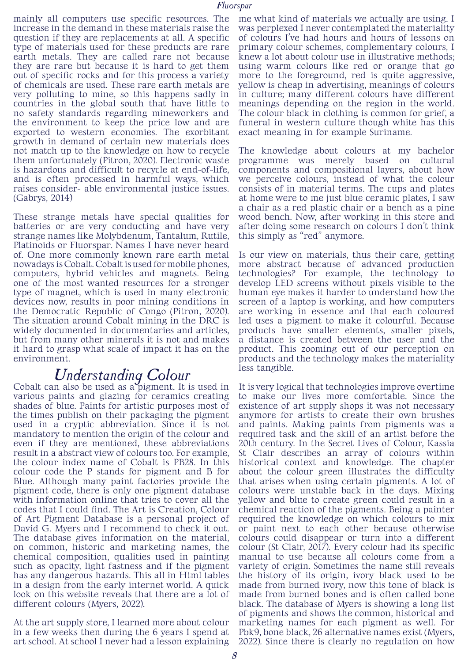mainly all computers use specific resources. The increase in the demand in these materials raise the question if they are replacements at all. A specific type of materials used for these products are rare earth metals. They are called rare not because they are rare but because it is hard to get them out of specific rocks and for this process a variety of chemicals are used. These rare earth metals are very polluting to mine, so this happens sadly in countries in the global south that have little to no safety standards regarding mineworkers and the environment to keep the price low and are exported to western economies. The exorbitant growth in demand of certain new materials does not match up to the knowledge on how to recycle them unfortunately (Pitron, 2020). Electronic waste is hazardous and difficult to recycle at end-of-life, and is often processed in harmful ways, which raises consider- able environmental justice issues. (Gabrys, 2014)

These strange metals have special qualities for batteries or are very conducting and have very strange names like Molybdenum, Tantalum, Rutile, Platinoids or Fluorspar. Names I have never heard of. One more commonly known rare earth metal nowadays is Cobalt. Cobalt is used for mobile phones, computers, hybrid vehicles and magnets. Being one of the most wanted resources for a stronger type of magnet, which is used in many electronic devices now, results in poor mining conditions in the Democratic Republic of Congo (Pitron, 2020). The situation around Cobalt mining in the DRC is widely documented in documentaries and articles, but from many other minerals it is not and makes it hard to grasp what scale of impact it has on the environment.

*Understanding Colour*<br>Cobalt can also be used as a pigment. It is used in various paints and glazing for ceramics creating shades of blue. Paints for artistic purposes most of the times publish on their packaging the pigment used in a cryptic abbreviation. Since it is not mandatory to mention the origin of the colour and even if they are mentioned, these abbreviations result in a abstract view of colours too. For example, the colour index name of Cobalt is PB28. In this colour code the P stands for pigment and B for Blue. Although many paint factories provide the pigment code, there is only one pigment database with information online that tries to cover all the codes that I could find. The Art is Creation, Colour of Art Pigment Database is a personal project of David G. Myers and I recommend to check it out. The database gives information on the material, on common, historic and marketing names, the chemical composition, qualities used in painting such as opacity, light fastness and if the pigment has any dangerous hazards. This all in Html tables in a design from the early internet world. A quick look on this website reveals that there are a lot of different colours (Myers, 2022).

At the art supply store, I learned more about colour in a few weeks then during the 6 years I spend at art school. At school I never had a lesson explaining me what kind of materials we actually are using. I was perplexed I never contemplated the materiality of colours I've had hours and hours of lessons on primary colour schemes, complementary colours, I knew a lot about colour use in illustrative methods; using warm colours like red or orange that go more to the foreground, red is quite aggressive, yellow is cheap in advertising, meanings of colours in culture; many different colours have different meanings depending on the region in the world. The colour black in clothing is common for grief, a funeral in western culture though white has this exact meaning in for example Suriname.

The knowledge about colours at my bachelor programme was merely based on cultural components and compositional layers, about how we perceive colours, instead of what the colour consists of in material terms. The cups and plates at home were to me just blue ceramic plates, I saw a chair as a red plastic chair or a bench as a pine wood bench. Now, after working in this store and after doing some research on colours I don't think this simply as "red" anymore.

Is our view on materials, thus their care, getting more abstract because of advanced production technologies? For example, the technology to develop LED screens without pixels visible to the human eye makes it harder to understand how the screen of a laptop is working, and how computers are working in essence and that each coloured led uses a pigment to make it colourful. Because products have smaller elements, smaller pixels, a distance is created between the user and the product. This zooming out of our perception on products and the technology makes the materiality less tangible.

It is very logical that technologies improve overtime to make our lives more comfortable. Since the existence of art supply shops it was not necessary anymore for artists to create their own brushes and paints. Making paints from pigments was a required task and the skill of an artist before the 20th century. In the Secret Lives of Colour, Kassia St Clair describes an array of colours within historical context and knowledge. The chapter about the colour green illustrates the difficulty that arises when using certain pigments. A lot of colours were unstable back in the days. Mixing yellow and blue to create green could result in a chemical reaction of the pigments. Being a painter required the knowledge on which colours to mix or paint next to each other because otherwise colours could disappear or turn into a different colour (St Clair, 2017). Every colour had its specific manual to use because all colours come from a variety of origin. Sometimes the name still reveals the history of its origin, ivory black used to be made from burned ivory, now this tone of black is made from burned bones and is often called bone black. The database of Myers is showing a long list of pigments and shows the common, historical and marketing names for each pigment as well. For Pbk9, bone black, 26 alternative names exist (Myers, 2022). Since there is clearly no regulation on how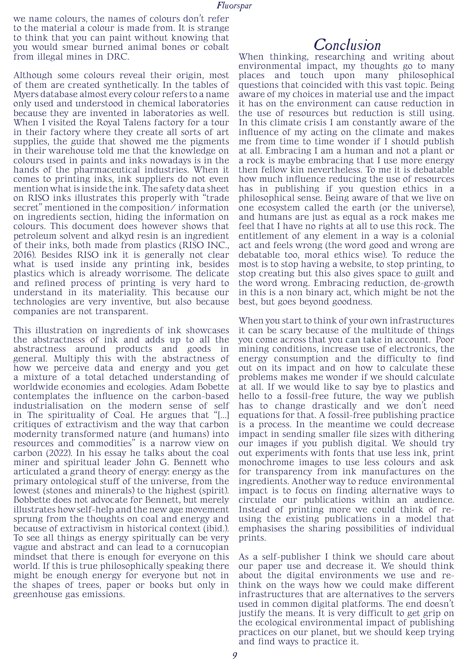we name colours, the names of colours don't refer to the material a colour is made from. It is strange to think that you can paint without knowing that you would smear burned animal bones or cobalt from illegal mines in DRC.

Although some colours reveal their origin, most of them are created synthetically. In the tables of Myers database almost every colour refers to a name only used and understood in chemical laboratories because they are invented in laboratories as well. When I visited the Royal Talens factory for a tour in their factory where they create all sorts of art supplies, the guide that showed me the pigments in their warehouse told me that the knowledge on colours used in paints and inks nowadays is in the hands of the pharmaceutical industries. When it comes to printing inks, ink suppliers do not even mention what is inside the ink. The safety data sheet on RISO inks illustrates this properly with "trade secret" mentioned in the composition/ information on ingredients section, hiding the information on colours. This document does however shows that petroleum solvent and alkyd resin is an ingredient of their inks, both made from plastics (RISO INC., 2016). Besides RISO ink it is generally not clear what is used inside any printing ink, besides plastics which is already worrisome. The delicate and refined process of printing is very hard to understand in its materiality. This because our technologies are very inventive, but also because companies are not transparent.

This illustration on ingredients of ink showcases the abstractness of ink and adds up to all the abstractness around products and goods in general. Multiply this with the abstractness of how we perceive data and energy and you get a mixture of a total detached understanding of worldwide economies and ecologies. Adam Bobette contemplates the influence on the carbon-based industrialisation on the modern sense of self in The spirituality of Coal. He argues that "[...] critiques of extractivism and the way that carbon modernity transformed nature (and humans) into resources and commodities" is a narrow view on carbon (2022). In his essay he talks about the coal miner and spiritual leader John G. Bennett who articulated a grand theory of energy: energy as the primary ontological stuff of the universe, from the lowest (stones and minerals) to the highest (spirit). Bobbette does not advocate for Bennett, but merely illustrates how self-help and the new age movement sprung from the thoughts on coal and energy and because of extractivism in historical context (ibid.). To see all things as energy spiritually can be very vague and abstract and can lead to a cornucopian mindset that there is enough for everyone on this world. If this is true philosophically speaking there might be enough energy for everyone but not in the shapes of trees, paper or books but only in greenhouse gas emissions.

### *Conclusion*

When thinking, researching and writing about environmental impact, my thoughts go to many places and touch upon many philosophical questions that coincided with this vast topic. Being aware of my choices in material use and the impact it has on the environment can cause reduction in the use of resources but reduction is still using. In this climate crisis I am constantly aware of the influence of my acting on the climate and makes me from time to time wonder if I should publish at all. Embracing I am a human and not a plant or a rock is maybe embracing that I use more energy then fellow kin nevertheless. To me it is debatable how much influence reducing the use of resources has in publishing if you question ethics in a philosophical sense. Being aware of that we live on one ecosystem called the earth (or the universe), and humans are just as equal as a rock makes me feel that I have no rights at all to use this rock. The entitlement of any element in a way is a colonial act and feels wrong (the word good and wrong are debatable too, moral ethics wise). To reduce the most is to stop having a website, to stop printing, to stop creating but this also gives space to guilt and the word wrong. Embracing reduction, de-growth in this is a non binary act, which might be not the best, but goes beyond goodness.

When you start to think of your own infrastructures it can be scary because of the multitude of things you come across that you can take in account. Poor mining conditions, increase use of electronics, the energy consumption and the difficulty to find out on its impact and on how to calculate these problems makes me wonder if we should calculate at all. If we would like to say bye to plastics and hello to a fossil-free future, the way we publish has to change drastically and we don't need equations for that. A fossil-free publishing practice is a process. In the meantime we could decrease impact in sending smaller file sizes with dithering our images if you publish digital. We should try out experiments with fonts that use less ink, print monochrome images to use less colours and ask for transparency from ink manufactures on the ingredients. Another way to reduce environmental impact is to focus on finding alternative ways to circulate our publications within an audience. Instead of printing more we could think of reusing the existing publications in a model that emphasises the sharing possibilities of individual prints.

As a self-publisher I think we should care about our paper use and decrease it. We should think about the digital environments we use and rethink on the ways how we could make different infrastructures that are alternatives to the servers used in common digital platforms. The end doesn't justify the means. It is very difficult to get grip on the ecological environmental impact of publishing practices on our planet, but we should keep trying and find ways to practice it.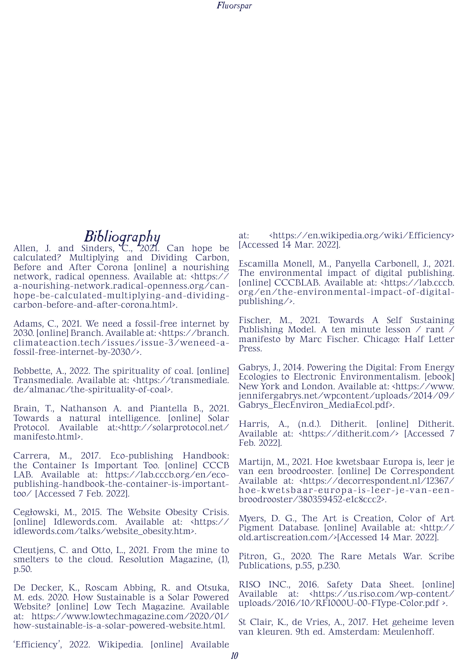*Bibliography*<br>Allen, J. and Sinders, C., 2021. Can hope be calculated? Multiplying and Dividing Carbon, Before and After Corona [online] a nourishing network, radical openness. Available at: <https:// a-nourishing-network.radical-openness.org/canhope-be-calculated-multiplying-and-dividingcarbon-before-and-after-corona.html>.

Adams, C., 2021. We need a fossil-free internet by 2030. [online] Branch. Available at: <https://branch. climateaction.tech/issues/issue-3/weneed-afossil-free-internet-by-2030/>.

Bobbette, A., 2022. The spirituality of coal. [online] Transmediale. Available at: <https://transmediale. de/almanac/the-spirituality-of-coal>.

Brain, T., Nathanson A. and Piantella B., 2021. Towards a natural intelligence. [online] Solar Protocol. Available at:<http://solarprotocol.net/ manifesto.html>.

Carrera, M., 2017. Eco-publishing Handbook: the Container Is Important Too. [online] CCCB LAB. Available at: https://lab.cccb.org/en/ecopublishing-handbook-the-container-is-importanttoo/ [Accessed 7 Feb. 2022].

Cegłowski, M., 2015. The Website Obesity Crisis. [online] Idlewords.com. Available at: <https:// idlewords.com/talks/website\_obesity.htm>.

Cleutjens, C. and Otto, L., 2021. From the mine to smelters to the cloud. Resolution Magazine, (1), p.50.

De Decker, K., Roscam Abbing, R. and Otsuka, M. eds. 2020. How Sustainable is a Solar Powered Website? [online] Low Tech Magazine. Available at: https://www.lowtechmagazine.com/2020/01/ how-sustainable-is-a-solar-powered-website.html.

'Efficiency', 2022. Wikipedia. [online] Available

at: <https://en.wikipedia.org/wiki/Efficiency> [Accessed 14 Mar. 2022].

Escamilla Monell, M., Panyella Carbonell, J., 2021. The environmental impact of digital publishing. [online] CCCBLAB. Available at: <https://lab.cccb. org/en/the-environmental-impact-of-digitalpublishing/>.

Fischer, M., 2021. Towards A Self Sustaining Publishing Model. A ten minute lesson / rant / manifesto by Marc Fischer. Chicago: Half Letter Press.

Gabrys, J., 2014. Powering the Digital: From Energy Ecologies to Electronic Environmentalism. [ebook] New York and London. Available at: <https://www. jennifergabrys.net/wpcontent/uploads/2014/09/ Gabrys\_ElecEnviron\_MediaEcol.pdf>.

Harris, A., (n.d.). Ditherit. [online] Ditherit. Available at: <https://ditherit.com/> [Accessed 7 Feb. 2022].

Martijn, M., 2021. Hoe kwetsbaar Europa is, leer je van een broodrooster. [online] De Correspondent Available at: <https://decorrespondent.nl/12367/ hoe-kwetsbaar-europa-is-leer-je-van-eenbroodrooster/380359452-e1c8ccc2>.

Myers, D. G., The Art is Creation, Color of Art Pigment Database. [online] Available at: <http:// old.artiscreation.com/>[Accessed 14 Mar. 2022].

Pitron, G., 2020. The Rare Metals War. Scribe Publications, p.55, p.230.

RISO INC., 2016. Safety Data Sheet. [online] Available at: <https://us.riso.com/wp-content/ uploads/2016/10/RFI000U-00-FType-Color.pdf >.

St Clair, K., de Vries, A., 2017. Het geheime leven van kleuren. 9th ed. Amsterdam: Meulenhoff.